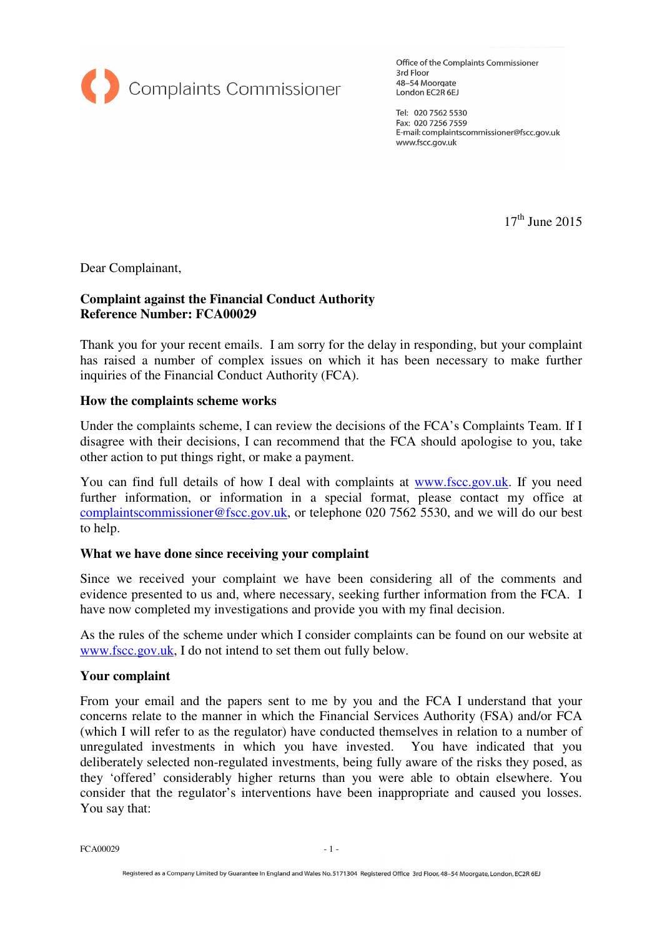

Office of the Complaints Commissioner 3rd Floor 48-54 Moorgate London EC2R 6EJ

Tel: 020 7562 5530 Fax: 020 7256 7559 E-mail: complaintscommissioner@fscc.gov.uk www.fscc.gov.uk

 $17<sup>th</sup>$  June 2015

Dear Complainant,

## **Complaint against the Financial Conduct Authority Reference Number: FCA00029**

Thank you for your recent emails. I am sorry for the delay in responding, but your complaint has raised a number of complex issues on which it has been necessary to make further inquiries of the Financial Conduct Authority (FCA).

#### **How the complaints scheme works**

Under the complaints scheme, I can review the decisions of the FCA's Complaints Team. If I disagree with their decisions, I can recommend that the FCA should apologise to you, take other action to put things right, or make a payment.

You can find full details of how I deal with complaints at www.fscc.gov.uk. If you need further information, or information in a special format, please contact my office at complaintscommissioner@fscc.gov.uk, or telephone 020 7562 5530, and we will do our best to help.

#### **What we have done since receiving your complaint**

Since we received your complaint we have been considering all of the comments and evidence presented to us and, where necessary, seeking further information from the FCA. I have now completed my investigations and provide you with my final decision.

As the rules of the scheme under which I consider complaints can be found on our website at www.fscc.gov.uk, I do not intend to set them out fully below.

#### **Your complaint**

From your email and the papers sent to me by you and the FCA I understand that your concerns relate to the manner in which the Financial Services Authority (FSA) and/or FCA (which I will refer to as the regulator) have conducted themselves in relation to a number of unregulated investments in which you have invested. You have indicated that you deliberately selected non-regulated investments, being fully aware of the risks they posed, as they 'offered' considerably higher returns than you were able to obtain elsewhere. You consider that the regulator's interventions have been inappropriate and caused you losses. You say that:

 $FCA00029$   $-1$  -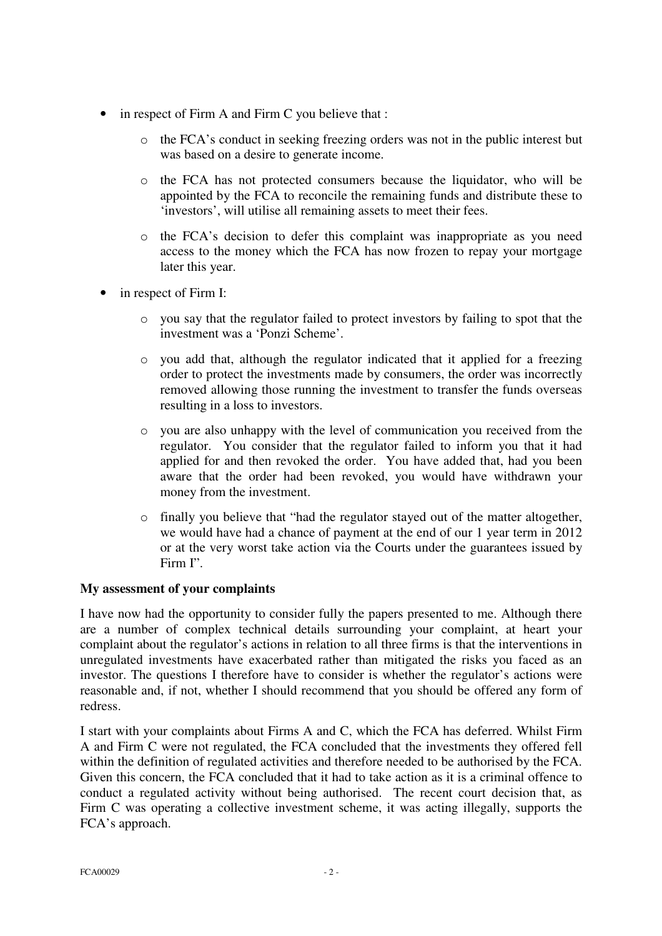- in respect of Firm A and Firm C you believe that :
	- o the FCA's conduct in seeking freezing orders was not in the public interest but was based on a desire to generate income.
	- o the FCA has not protected consumers because the liquidator, who will be appointed by the FCA to reconcile the remaining funds and distribute these to 'investors', will utilise all remaining assets to meet their fees.
	- o the FCA's decision to defer this complaint was inappropriate as you need access to the money which the FCA has now frozen to repay your mortgage later this year.
- in respect of Firm I:
	- o you say that the regulator failed to protect investors by failing to spot that the investment was a 'Ponzi Scheme'.
	- o you add that, although the regulator indicated that it applied for a freezing order to protect the investments made by consumers, the order was incorrectly removed allowing those running the investment to transfer the funds overseas resulting in a loss to investors.
	- o you are also unhappy with the level of communication you received from the regulator. You consider that the regulator failed to inform you that it had applied for and then revoked the order. You have added that, had you been aware that the order had been revoked, you would have withdrawn your money from the investment.
	- o finally you believe that "had the regulator stayed out of the matter altogether, we would have had a chance of payment at the end of our 1 year term in 2012 or at the very worst take action via the Courts under the guarantees issued by Firm I".

### **My assessment of your complaints**

I have now had the opportunity to consider fully the papers presented to me. Although there are a number of complex technical details surrounding your complaint, at heart your complaint about the regulator's actions in relation to all three firms is that the interventions in unregulated investments have exacerbated rather than mitigated the risks you faced as an investor. The questions I therefore have to consider is whether the regulator's actions were reasonable and, if not, whether I should recommend that you should be offered any form of redress.

I start with your complaints about Firms A and C, which the FCA has deferred. Whilst Firm A and Firm C were not regulated, the FCA concluded that the investments they offered fell within the definition of regulated activities and therefore needed to be authorised by the FCA. Given this concern, the FCA concluded that it had to take action as it is a criminal offence to conduct a regulated activity without being authorised. The recent court decision that, as Firm C was operating a collective investment scheme, it was acting illegally, supports the FCA's approach.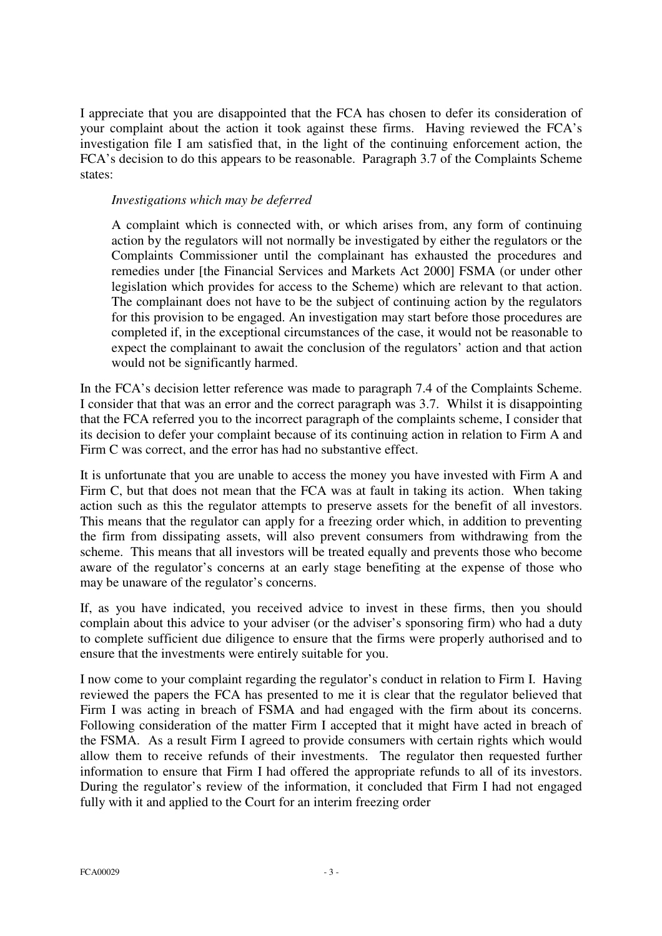I appreciate that you are disappointed that the FCA has chosen to defer its consideration of your complaint about the action it took against these firms. Having reviewed the FCA's investigation file I am satisfied that, in the light of the continuing enforcement action, the FCA's decision to do this appears to be reasonable. Paragraph 3.7 of the Complaints Scheme states:

## *Investigations which may be deferred*

A complaint which is connected with, or which arises from, any form of continuing action by the regulators will not normally be investigated by either the regulators or the Complaints Commissioner until the complainant has exhausted the procedures and remedies under [the Financial Services and Markets Act 2000] FSMA (or under other legislation which provides for access to the Scheme) which are relevant to that action. The complainant does not have to be the subject of continuing action by the regulators for this provision to be engaged. An investigation may start before those procedures are completed if, in the exceptional circumstances of the case, it would not be reasonable to expect the complainant to await the conclusion of the regulators' action and that action would not be significantly harmed.

In the FCA's decision letter reference was made to paragraph 7.4 of the Complaints Scheme. I consider that that was an error and the correct paragraph was 3.7. Whilst it is disappointing that the FCA referred you to the incorrect paragraph of the complaints scheme, I consider that its decision to defer your complaint because of its continuing action in relation to Firm A and Firm C was correct, and the error has had no substantive effect.

It is unfortunate that you are unable to access the money you have invested with Firm A and Firm C, but that does not mean that the FCA was at fault in taking its action. When taking action such as this the regulator attempts to preserve assets for the benefit of all investors. This means that the regulator can apply for a freezing order which, in addition to preventing the firm from dissipating assets, will also prevent consumers from withdrawing from the scheme. This means that all investors will be treated equally and prevents those who become aware of the regulator's concerns at an early stage benefiting at the expense of those who may be unaware of the regulator's concerns.

If, as you have indicated, you received advice to invest in these firms, then you should complain about this advice to your adviser (or the adviser's sponsoring firm) who had a duty to complete sufficient due diligence to ensure that the firms were properly authorised and to ensure that the investments were entirely suitable for you.

I now come to your complaint regarding the regulator's conduct in relation to Firm I. Having reviewed the papers the FCA has presented to me it is clear that the regulator believed that Firm I was acting in breach of FSMA and had engaged with the firm about its concerns. Following consideration of the matter Firm I accepted that it might have acted in breach of the FSMA. As a result Firm I agreed to provide consumers with certain rights which would allow them to receive refunds of their investments. The regulator then requested further information to ensure that Firm I had offered the appropriate refunds to all of its investors. During the regulator's review of the information, it concluded that Firm I had not engaged fully with it and applied to the Court for an interim freezing order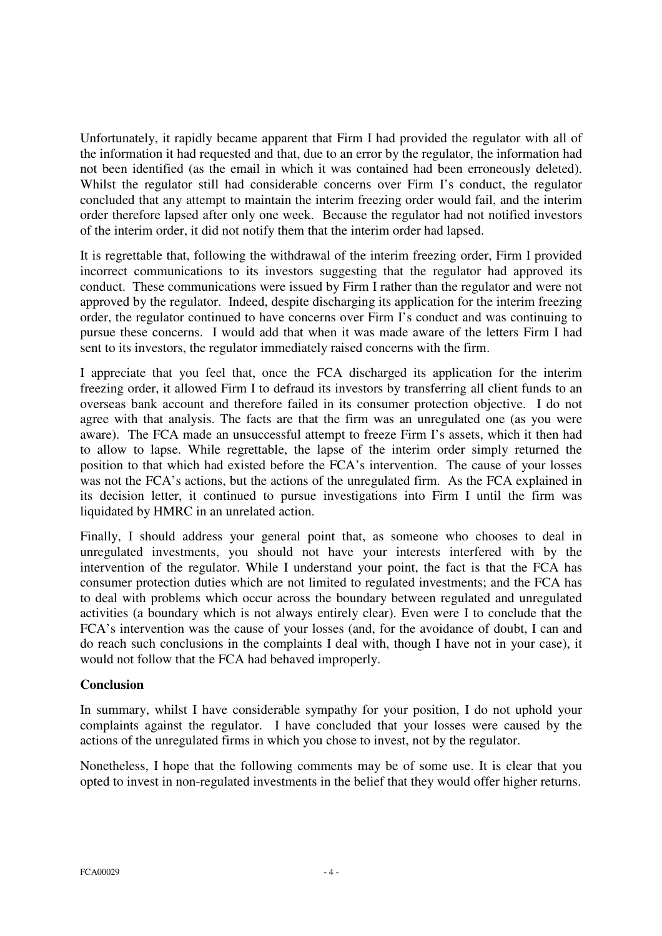Unfortunately, it rapidly became apparent that Firm I had provided the regulator with all of the information it had requested and that, due to an error by the regulator, the information had not been identified (as the email in which it was contained had been erroneously deleted). Whilst the regulator still had considerable concerns over Firm I's conduct, the regulator concluded that any attempt to maintain the interim freezing order would fail, and the interim order therefore lapsed after only one week. Because the regulator had not notified investors of the interim order, it did not notify them that the interim order had lapsed.

It is regrettable that, following the withdrawal of the interim freezing order, Firm I provided incorrect communications to its investors suggesting that the regulator had approved its conduct. These communications were issued by Firm I rather than the regulator and were not approved by the regulator. Indeed, despite discharging its application for the interim freezing order, the regulator continued to have concerns over Firm I's conduct and was continuing to pursue these concerns. I would add that when it was made aware of the letters Firm I had sent to its investors, the regulator immediately raised concerns with the firm.

I appreciate that you feel that, once the FCA discharged its application for the interim freezing order, it allowed Firm I to defraud its investors by transferring all client funds to an overseas bank account and therefore failed in its consumer protection objective. I do not agree with that analysis. The facts are that the firm was an unregulated one (as you were aware). The FCA made an unsuccessful attempt to freeze Firm I's assets, which it then had to allow to lapse. While regrettable, the lapse of the interim order simply returned the position to that which had existed before the FCA's intervention. The cause of your losses was not the FCA's actions, but the actions of the unregulated firm. As the FCA explained in its decision letter, it continued to pursue investigations into Firm I until the firm was liquidated by HMRC in an unrelated action.

Finally, I should address your general point that, as someone who chooses to deal in unregulated investments, you should not have your interests interfered with by the intervention of the regulator. While I understand your point, the fact is that the FCA has consumer protection duties which are not limited to regulated investments; and the FCA has to deal with problems which occur across the boundary between regulated and unregulated activities (a boundary which is not always entirely clear). Even were I to conclude that the FCA's intervention was the cause of your losses (and, for the avoidance of doubt, I can and do reach such conclusions in the complaints I deal with, though I have not in your case), it would not follow that the FCA had behaved improperly.

# **Conclusion**

In summary, whilst I have considerable sympathy for your position, I do not uphold your complaints against the regulator. I have concluded that your losses were caused by the actions of the unregulated firms in which you chose to invest, not by the regulator.

Nonetheless, I hope that the following comments may be of some use. It is clear that you opted to invest in non-regulated investments in the belief that they would offer higher returns.